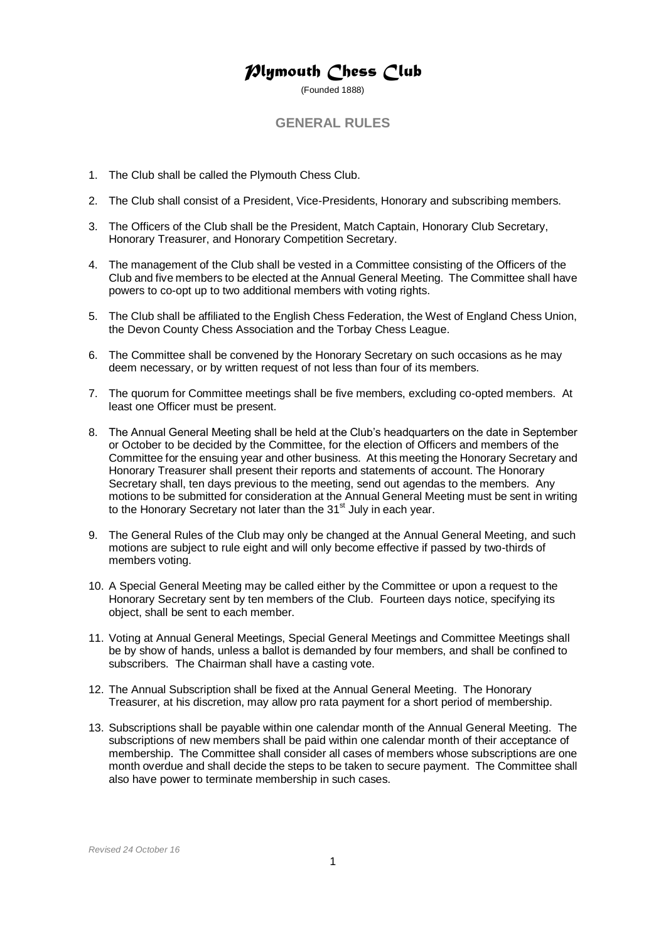## *Plymouth Chess Club*

(Founded 1888)

## **GENERAL RULES**

- 1. The Club shall be called the Plymouth Chess Club.
- 2. The Club shall consist of a President, Vice-Presidents, Honorary and subscribing members.
- 3. The Officers of the Club shall be the President, Match Captain, Honorary Club Secretary, Honorary Treasurer, and Honorary Competition Secretary.
- 4. The management of the Club shall be vested in a Committee consisting of the Officers of the Club and five members to be elected at the Annual General Meeting. The Committee shall have powers to co-opt up to two additional members with voting rights.
- 5. The Club shall be affiliated to the English Chess Federation, the West of England Chess Union, the Devon County Chess Association and the Torbay Chess League.
- 6. The Committee shall be convened by the Honorary Secretary on such occasions as he may deem necessary, or by written request of not less than four of its members.
- 7. The quorum for Committee meetings shall be five members, excluding co-opted members. At least one Officer must be present.
- 8. The Annual General Meeting shall be held at the Club's headquarters on the date in September or October to be decided by the Committee, for the election of Officers and members of the Committee for the ensuing year and other business. At this meeting the Honorary Secretary and Honorary Treasurer shall present their reports and statements of account. The Honorary Secretary shall, ten days previous to the meeting, send out agendas to the members. Any motions to be submitted for consideration at the Annual General Meeting must be sent in writing to the Honorary Secretary not later than the 31<sup>st</sup> July in each year.
- 9. The General Rules of the Club may only be changed at the Annual General Meeting, and such motions are subject to rule eight and will only become effective if passed by two-thirds of members voting.
- 10. A Special General Meeting may be called either by the Committee or upon a request to the Honorary Secretary sent by ten members of the Club. Fourteen days notice, specifying its object, shall be sent to each member.
- 11. Voting at Annual General Meetings, Special General Meetings and Committee Meetings shall be by show of hands, unless a ballot is demanded by four members, and shall be confined to subscribers. The Chairman shall have a casting vote.
- 12. The Annual Subscription shall be fixed at the Annual General Meeting. The Honorary Treasurer, at his discretion, may allow pro rata payment for a short period of membership.
- 13. Subscriptions shall be payable within one calendar month of the Annual General Meeting. The subscriptions of new members shall be paid within one calendar month of their acceptance of membership. The Committee shall consider all cases of members whose subscriptions are one month overdue and shall decide the steps to be taken to secure payment. The Committee shall also have power to terminate membership in such cases.